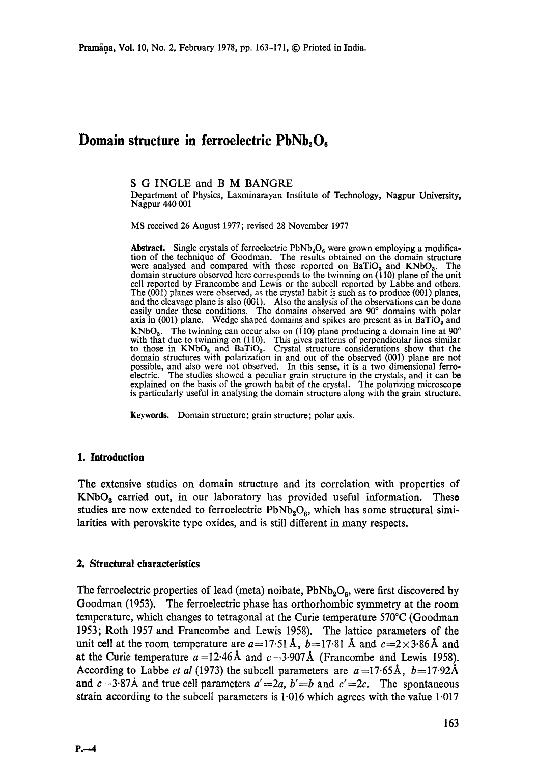# **Domain structure in ferroelectric PbNb<sub>2</sub>O<sub>6</sub>**

S G INGLE and B M BANGRE

Department of Physics, Laxminarayan Institute of Technology, Nagpur University, Nagpur 440 001

MS received 26 August 1977; revised 28 November 1977

**Abstract.** Single crystals of ferroelectric  $PbNb<sub>2</sub>O<sub>6</sub>$  were grown employing a modification of the technique of Goodman. The results obtained on the domain structure were analysed and compared with those reported on  $Bario<sub>3</sub>$  and  $KNbO<sub>3</sub>$ . The domain structure observed here corresponds to the twinning on (110) plane of the unit cell reported by Francombe and Lewis or the subcell reported by Labbe and others. The (001) planes were observed, as the crystal habit is such as to produce (001) planes, and the cleavage plane is also (001). Also the analysis of the observations can be done easily under these conditions. The domains observed are 90° domains with polar axis in (001) plane. Wedge shaped domains and spikes are present as in BaTiO<sub>3</sub> and KNbO<sub>3</sub>. The twinning can occur also on (110) plane producing a domain line at  $90^{\circ}$ with that due to twinning on (110). This gives patterns of perpendicular lines similar to those in  $KNbO<sub>3</sub>$  and BaTiO<sub>3</sub>. Crystal structure considerations show that the domain structures with polarization in and out of the observed (001) plane are not possible, and also were not observed. In this sense, it is a two dimensional ferroelectric. The studies showed a peculiar grain structure in the crystals, and it can be explained on the basis of the growth habit of the crystal. The polarizing microscope **is** particularly useful in analysing the domain structure along with the grain structure.

**Keywords.** Domain structure; grain structure; polar axis.

## **1. Introduction**

The extensive studies on domain structure and its correlation with properties of  $KNbO<sub>3</sub>$  carried out, in our laboratory has provided useful information. These studies are now extended to ferroelectric  $PbNb<sub>2</sub>O<sub>6</sub>$ , which has some structural similarities with perovskite type oxides, and is still different in many respects.

## **2. Structural characteristics**

The ferroelectric properties of lead (meta) noibate,  $PbNb<sub>2</sub>O<sub>6</sub>$ , were first discovered by Goodman (1953). The ferroelectric phase has orthorhombic symmetry at the room temperature, which changes to tetragonal at the Curie temperature 570°C (Goodman 1953; Roth 1957 and Francombe and Lewis 1958). The lattice parameters of the unit cell at the room temperature are  $a=17.51 \text{ Å}$ ,  $b=17.81 \text{ Å}$  and  $c=2\times3.86 \text{ Å}$  and at the Curie temperature  $a=12.46\text{ Å}$  and  $c=3.907\text{ Å}$  (Francombe and Lewis 1958). According to Labbe *et al* (1973) the subcell parameters are  $a=17.65\text{\AA}$ ,  $b=17.92\text{\AA}$ **and**  $c=3.87\text{Å}$  and true cell parameters  $a' = 2a$ ,  $b' = b$  and  $c' = 2c$ . The spontaneous strain according to the subcell parameters is  $1.016$  which agrees with the value  $1.017$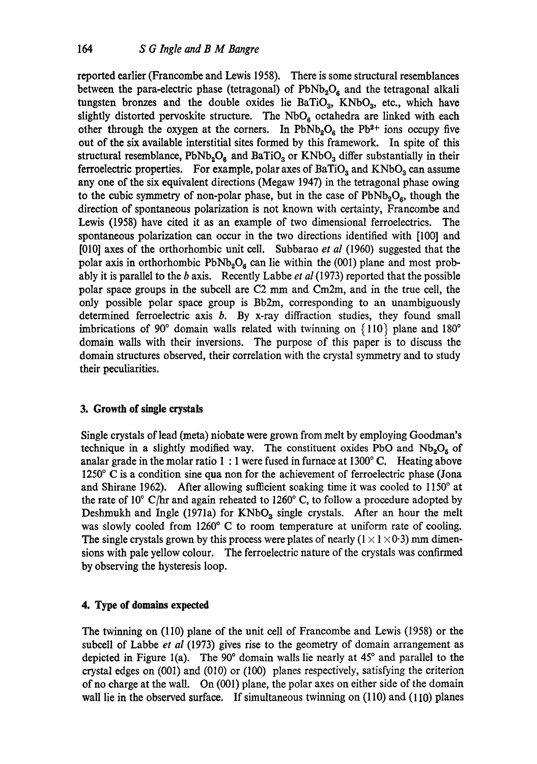reported earlier (Francombe and Lewis 1958). There is some structural resemblances between the para-electric phase (tetragonal) of  $PbNb<sub>2</sub>O<sub>6</sub>$  and the tetragonal alkali tungsten bronzes and the double oxides lie BaTiO<sub>3</sub>, KNbO<sub>3</sub>, etc., which have slightly distorted pervoskite structure. The  $NbO<sub>6</sub>$  octahedra are linked with each other through the oxygen at the corners. In PbNb<sub>2</sub>O<sub>6</sub> the Pb<sup>2+</sup> ions occupy five out of the six available interstitial sites formed by this framework. In spite of this structural resemblance,  $PbNb<sub>2</sub>O<sub>6</sub>$  and BaTiO<sub>3</sub> or KNbO<sub>3</sub> differ substantially in their ferroelectric properties. For example, polar axes of  $BaTiO<sub>3</sub>$  and  $KNbO<sub>3</sub>$  can assume any one of the six equivalent directions (Megaw 1947) in the tetragonal phase owing to the cubic symmetry of non-polar phase, but in the case of  $PbNb<sub>2</sub>O<sub>a</sub>$ , though the direction of spontaneous polarization is not known with certainty, Francombe and Lewis (1958) have cited it as an example of two dimensional ferroeleetrics. The spontaneous polarization can occur in the two directions identified with [100] and [010] axes of the orthorhombic unit cell. Subbarao *et al* (1960) suggested that the polar axis in orthorhombic  $PbNb<sub>2</sub>O<sub>6</sub>$  can lie within the (001) plane and most probably it is parallel to the b axis. Recently Labbe *et al* (1973) reported that the possible polar space groups in the subcell are C2 mm and Cm2m, and in the true cell, the only possible polar space group is Bb2m, corresponding to an unambiguously determined ferroelectric axis  $b$ . By x-ray diffraction studies, they found small imbrications of 90 $^{\circ}$  domain walls related with twinning on  $\{110\}$  plane and 180 $^{\circ}$ domain walls with their inversions. The purpose of this paper is to discuss the domain structures observed, their correlation with the crystal symmetry and to study their peculiarities.

# **3. Growth of single crystals**

Single crystals of lead (meta) niobate were grown from melt by employing Goodman's technique in a slightly modified way. The constituent oxides PbO and  $Nb_2O_5$  of analar grade in the molar ratio  $1:1$  were fused in furnace at  $1300^{\circ}$  C. Heating above  $1250^{\circ}$  C is a condition sine qua non for the achievement of ferroelectric phase (Jona and Shirane 1962). After allowing sufficient soaking time it was cooled to  $1150^\circ$  at the rate of  $10^{\circ}$  C/hr and again reheated to  $1260^{\circ}$  C, to follow a procedure adopted by Deshmukh and Ingle (1971a) for  $KNbO_3$  single crystals. After an hour the melt was slowly cooled from 1260° C to room temperature at uniform rate of cooling. The single crystals grown by this process were plates of nearly  $(1 \times 1 \times 0.3)$  mm dimensions with pale yellow colour. The ferroelectric nature of the crystals was confirmed by observing the hysteresis loop.

## **4. Type of domains expected**

The twinning on (110) plane of the unit cell of Francombe and Lewis (1958) or the subcell of Labbe *et al* (1973) gives rise to the geometry of domain arrangement as depicted in Figure 1(a). The  $90^\circ$  domain walls lie nearly at  $45^\circ$  and parallel to the crystal edges on  $(001)$  and  $(010)$  or  $(100)$  planes respectively, satisfying the criterion of no charge at the wall. On (001) plane, the polar axes on either side of the domain wall lie in the observed surface. If simultaneous twinning on (110) and (110) planes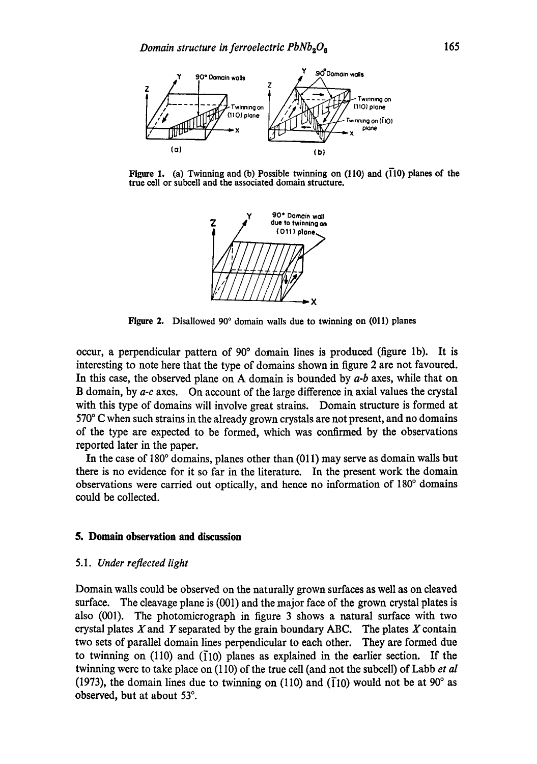

Figure I. (a) Twinning and (b) Possible twinning on (110) and (T10) planes of **the**  true cell or subcell and the associated domain structure.



Figure 2. Disallowed 90° domain walls due to twinning on (011) planes

occur, a perpendicular pattern of 90 ° domain lines is produced (figure lb). It is interesting to note here that the type of domains shown in figure 2 are not favoured. In this case, the observed plane on A domain is bounded by *a-b* axes, while that on B domain, by *a-c* axes. On account of the large difference in axial values the crystal with this type of domains will involve great strains. Domain structure is formed at  $570^{\circ}$  C when such strains in the already grown crystals are not present, and no domains of the type are expected to be formed, which was confirmed by the observations reported later in the paper.

In the case of  $180^\circ$  domains, planes other than  $(011)$  may serve as domain walls but there is no evidence for it so far in the literature. In the present work the domain observations were carried out optically, and hence no information of 180<sup>°</sup> domains could be collected.

### **5. Domain observation and discussion**

#### *5.1. Under reflected light*

Domain walls could be observed on the naturally grown surfaces as well as on cleaved surface. The cleavage plane is (001) and the major face of the grown crystal plates is also (001). The photomicrograph in figure 3 shows a natural surface with two crystal plates  $X$  and  $Y$  separated by the grain boundary ABC. The plates  $X$  contain two sets of parallel domain lines perpendicular to each other. They are formed due to twinning on (110) and ( $\overline{1}10$ ) planes as explained in the earlier section. If the twinning were to take place on (110) of the true cell (and not the subcell) of Labb *et al*  (1973), the domain lines due to twinning on (110) and ( $\overline{1}10$ ) would not be at 90° as observed, but at about 53°.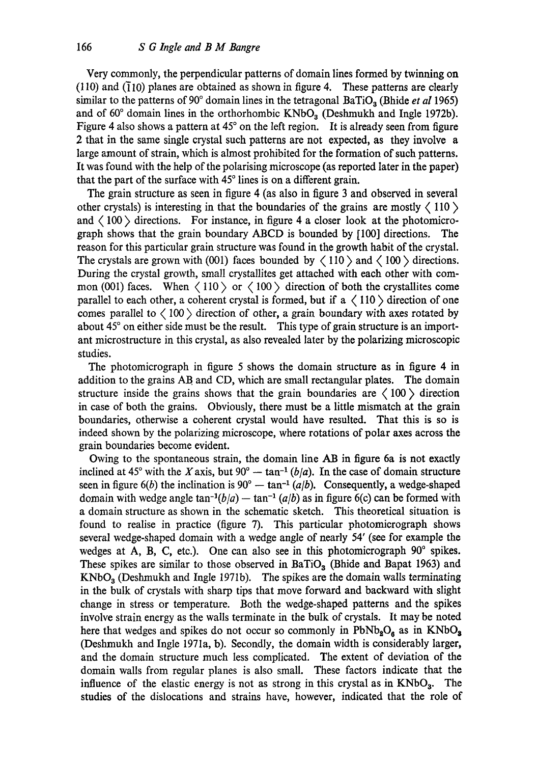Very commonly, the perpendicular patterns of domain lines formed by twinning on  $(110)$  and  $(\overline{1}10)$  planes are obtained as shown in figure 4. These patterns are clearly similar to the patterns of 90° domain lines in the tetragonal BaTiO<sub>3</sub> (Bhide *et al* 1965) and of  $60^\circ$  domain lines in the orthorhombic KNbO<sub>3</sub> (Deshmukh and Ingle 1972b). Figure 4 also shows a pattern at  $45^{\circ}$  on the left region. It is already seen from figure 2 that in the same single crystal such patterns are not expected, as they involve a large amount of strain, which is almost prohibited for the formation of such patterns. It was found with the help of the polarising microscope (as reported later in the paper) that the part of the surface with  $45^{\circ}$  lines is on a different grain.

The grain structure as seen in figure 4 (as also in figure 3 and observed in several other crystals) is interesting in that the boundaries of the grains are mostly  $\langle 110 \rangle$ and  $\langle 100 \rangle$  directions. For instance, in figure 4 a closer look at the photomicrograph shows that the grain boundary ABCD is bounded by [100] directions. The reason for this particular grain structure was found in the growth habit of the crystal. The crystals are grown with (001) faces bounded by  $\langle 110 \rangle$  and  $\langle 100 \rangle$  directions. During the crystal growth, small crystallites get attached with each other with common (001) faces. When  $\langle 110 \rangle$  or  $\langle 100 \rangle$  direction of both the crystallites come parallel to each other, a coherent crystal is formed, but if a  $\langle 110 \rangle$  direction of one comes parallel to  $\langle 100 \rangle$  direction of other, a grain boundary with axes rotated by about 45° on either side must be the result. This type of grain structure is an important microstructure in this crystal, as also revealed later by the polarizing microscopic studies.

The photomicrograph in figure 5 shows the domain structure as in figure 4 in addition to the grains AB and CD, which are small rectangular plates. The domain structure inside the grains shows that the grain boundaries are  $\langle 100 \rangle$  direction in case of both the grains. Obviously, there must be a little mismatch at the grain boundaries, otherwise a coherent crystal would have resulted. That this is so is indeed shown by the polarizing microscope, where rotations of polar axes across the grain boundaries become evident.

Owing to the spontaneous strain, the domain line AB in figure 6a is not exactly inclined at 45° with the X axis, but  $90^{\circ}$  -- tan<sup>-1</sup> *(b/a)*. In the case of domain structure seen in figure  $6(b)$  the inclination is  $90^{\circ}$  -- tan<sup>-1</sup> (a|b). Consequently, a wedge-shaped domain with wedge angle  $\tan^{-1}(b/a)$  --  $\tan^{-1}(a/b)$  as in figure 6(c) can be formed with a domain structure as shown in the schematic sketch. This theoretical situation is found to realise in practice (figure 7). This particular photomicrograph shows several wedge-shaped domain with a wedge angle of nearly 54' (see for example the wedges at A, B, C, etc.). One can also see in this photomicrograph  $90^\circ$  spikes. These spikes are similar to those observed in BaTiO<sub>3</sub> (Bhide and Bapat 1963) and  $KNbO<sub>3</sub>$  (Deshmukh and Ingle 1971b). The spikes are the domain walls terminating in the bulk of crystals with sharp tips that move forward and backward with slight change in stress or temperature. Both the wedge-shaped patterns and the spikes involve strain energy as the walls terminate in the bulk of crystals. It may be noted here that wedges and spikes do not occur so commonly in  $PbNb<sub>2</sub>O<sub>6</sub>$  as in  $KNbO<sub>3</sub>$ (Deshmukh and Ingle 1971a, b). Secondly, the domain width is considerably larger, and the domain structure much less complicated. The extent of deviation of the domain walls from regular planes is also small. These factors indicate that the influence of the elastic energy is not as strong in this crystal as in  $KNbO_3$ . The studies of the dislocations and strains have, however, indicated that the role of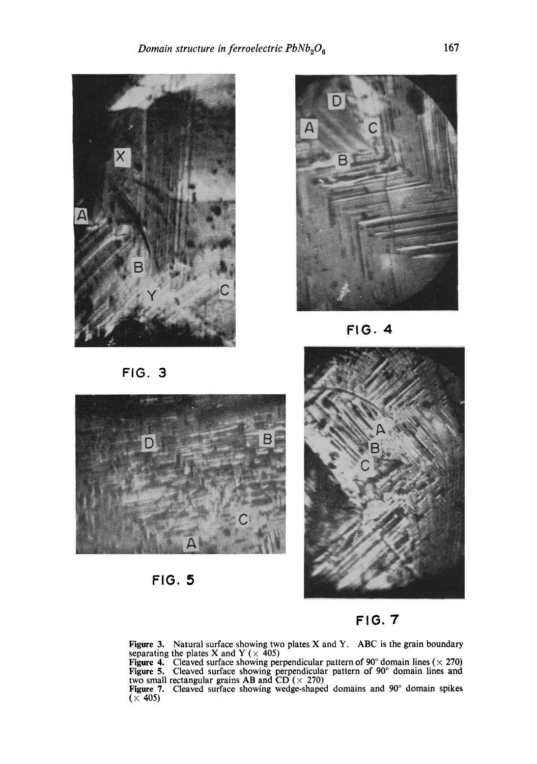



**FIG. 4** 





**FIG. 7** 

**Figure 3.** Natural surface showing two plates  $X$  and  $Y$ . ABC is the grain boundary separating the plates X and Y ( $\times$  405)

Figure 4. Cleaved surface showing perpendicular pattern of 90 $^{\circ}$  domain lines ( $\times$  270) Figure 5. Cleaved surface showing perpendicular pattern of 90° domain lines and two small rectangular grains AB and CD ( $\times$  270)

Figure 7. Cleaved surface showing wedge-shaped domains and 90 ° domain spikes **(x** 405)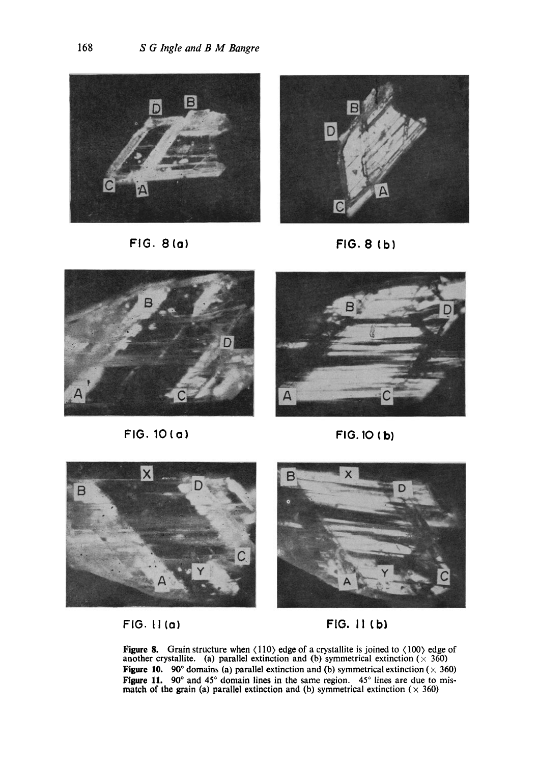







**FIG. 10(o) FIG. IO (b)** 







FIG. II to) FIG. 11 (b~

**Figure 8.** Grain structure when  $\langle 110 \rangle$  edge of a crystallite is joined to  $\langle 100 \rangle$  edge of another crystallite. (a) parallel extinction and (b) symmetrical extinction ( $\times$  360) Figure 10. 90° domains (a) parallel extinction and (b) symmetrical extinction ( $\times$  360) **Figure 11.** 90° and 45° domain lines in the same region. 45° lines are due to mismatch of the grain (a) parallel extinction and (b) symmetrical extinction ( $\times$  360)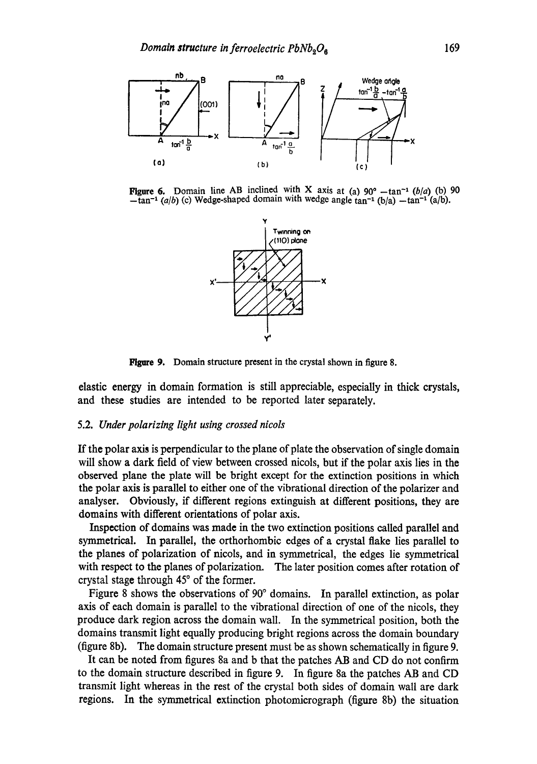

**Figure 6.** Domain line AB inclined with X axis at (a)  $90^\circ - \tan^{-1} (b/a)$  (b) 90  $-\tan^{-1}(a/b)$  (c) Wedge-shaped domain with wedge angle  $\tan^{-1}(b/a) - \tan^{-1}(a/b)$ .



Figure 9. Domain structure present in the crystal shown in figure 8.

elastic energy in domain formation is still appreciable, especially in thick crystals, and these studies are intended to be reported later separately.

# 5.2. *Under polarizing light using crossed nicols*

If the polar axis is perpendicular to the plane of plate the observation of single domain will show a dark field of view between crossed nicols, but if the polar axis lies in the observed plane the plate will be bright except for the extinction positions in which the polar axis is parallel to either one of the vibrational direction of the polarizer and analyser. Obviously, if different regions extinguish at different positions, they are domains with different orientations of polar axis.

Inspection of domains was made in the two extinction positions called parallel and symmetrical. In parallel, the orthorhombic edges of a crystal flake lies parallel to the planes of polarization of nicols, and in symmetrical, the edges lie symmetrical with respect to the planes of polarization. The later position comes after rotation of crystal stage through  $45^{\circ}$  of the former.

Figure 8 shows the observations of 90° domains. In parallel extinction, as polar axis of each domain is parallel to the vibrational direction of one of the nicols, they produce dark region across the domain wall. In the symmetrical position, both the domains transmit light equally producing bright regions across the domain boundary (figure 8b). The domain structure present must be as shown schematically in figure 9.

It can be noted from figures 8a and b that the patches AB and CD do not confirm to the domain structure described in figure 9. In figure 8a the patches AB and CD transmit light whereas in the rest of the crystal both sides of domain wall are dark regions. In the symmetrical extinction photomicrograph (figure 8b) the situation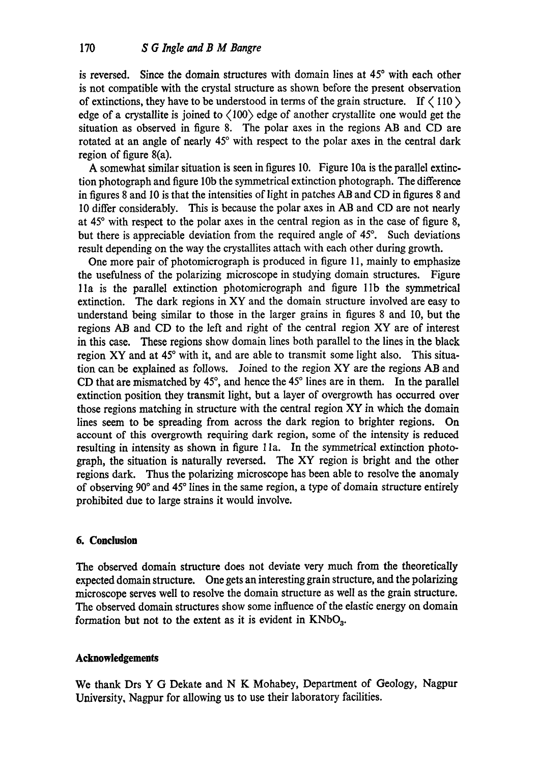is reversed. Since the domain structures with domain lines at 45° with each other is not compatible with the crystal structure as shown before the present observation of extinctions, they have to be understood in terms of the grain structure. If  $\langle 110 \rangle$ edge of a crystallite is joined to  $\langle 100 \rangle$  edge of another crystallite one would get the situation as observed in figure 8. The polar axes in the regions AB and CD are rotated at an angle of nearly 45° with respect to the polar axes in the central dark region of figure 8(a).

A somewhat similar situation is seen in figures 10. Figure 10a is the parallel extinction photograph and figure 10b the symmetrical extinction photograph. The difference in figures 8 and 10 is that the intensities of light in patches AB and CD in figures 8 and 10 differ considerably. This is because the polar axes in AB and CD are not nearly at  $45^\circ$  with respect to the polar axes in the central region as in the case of figure 8. but there is appreciable deviation from the required angle of 45°. Such deviations result depending on the way the crystallites attach with each other during growth.

One more pair of photomicrograph is produced in figure 11, mainly to emphasize the usefulness of the polarizing microscope in studying domain structures. Figure lla is the parallel extinction photomicrograph and figure lib the symmetrical extinction. The dark regions in XY and the domain structure involved are easy to understand being similar to those in the larger grains in figures 8 and I0, but the regions AB and CD to the left and right of the central region XY are of interest in this case. These regions show domain lines both parallel to the lines in the black region XY and at 45° with it, and are able to transmit some light also. This situation can be explained as follows. Joined to the region XY are the regions AB and CD that are mismatched by  $45^\circ$ , and hence the  $45^\circ$  lines are in them. In the parallel extinction position they transmit light, but a layer of overgrowth has occurred over those regions matching in structure with the central region XY in which the domain lines seem to be spreading from across the dark region to brighter regions. On account of this overgrowth requiring dark region, some of the intensity is reduced resulting in intensity as shown in figure lla. In the symmetrical extinction photograph, the situation is naturally reversed. The XY region is bright and the other regions dark. Thus the polarizing microscope has been able to resolve the anomaly of observing 90 ° and 45 ° lines in the same region, a type of domain structure entirely prohibited due to large strains it would involve.

# **6. Conclusion**

The observed domain structure does not deviate very much from the theoretically expected domain structure. One gets an interesting grain structure, and the polarizing microscope serves well to resolve the domain structure as well as the grain structure. The observed domain structures show some influence of the elastic energy on domain formation but not to the extent as it is evident in  $KNbO_3$ .

# **Acknowledgements**

We thank Drs Y G Dekate and N K Mohabey, Department of Geology, Nagpur University, Nagpur for allowing us to use their laboratory facilities.